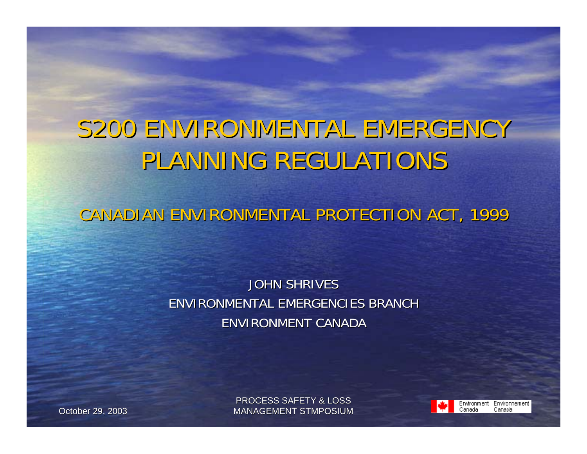#### S200 ENVIRONMENTAL EMERGENCY PLANNING REGULATIONS

CANADIAN ENVIRONMENTAL PROTECTION ACT, 1999

#### JOHN SHRIVES ENVIRONMENTAL EMERGENCIES BRANCH ENVIRONMENT CANADA

PROCESS SAFETY & LOSSOctober 29, 2003 MANAGEMENT STMPOSIUM

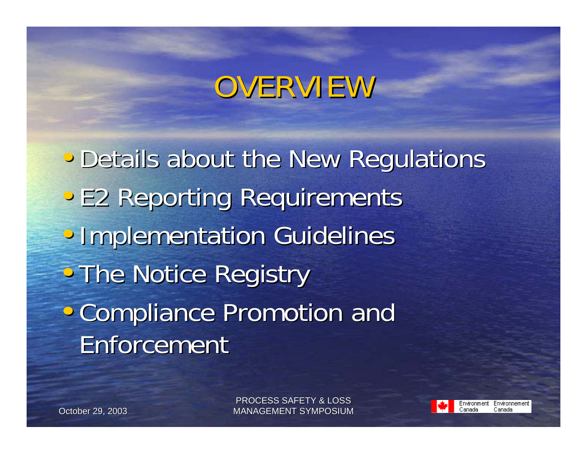# OVERVIEW

• Details about the New Regulations • E2 Reporting Requirements • Implementation Guidelines • The Notice Registry • Compliance Promotion and Enforcement

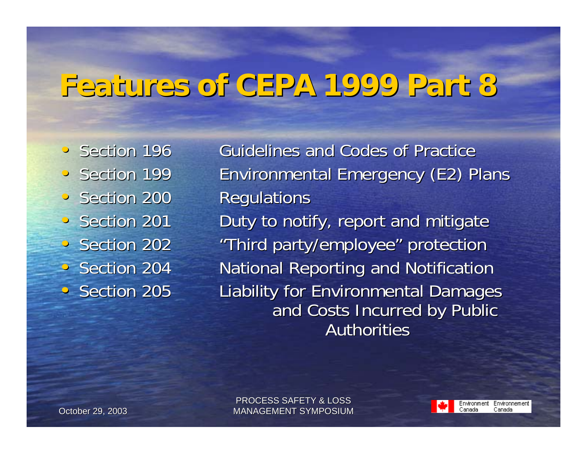#### **Features of CEPA 1999 Part 8 Features of CEPA 1999 Part 8**

· Section 196 · Section 199 • Section 200 Regulations • Section 201 • Section 202 Section 204 · Section 205

• Section 196 Guidelines and Codes of Practice Environmental Emergency (E2) Plans Duty to notify, report and mitigate "Third party/employee" protection "Third party/employee" protection **National Reporting and Notification** Liability for Environmental Damages and Costs Incurred by Public Authorities

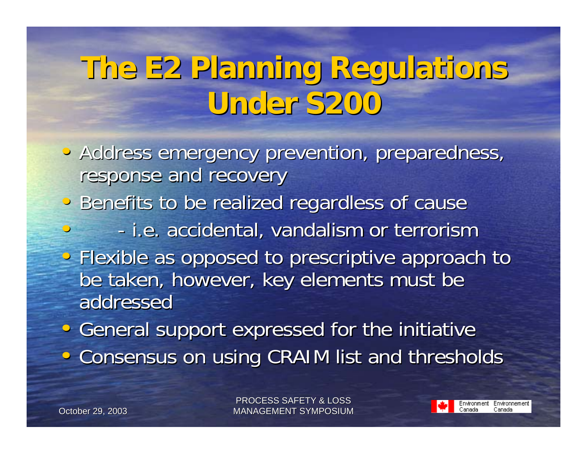# **The E2 Planning Regulations The E2 Planning Regulations Under S200 Under S200**

- Address emergency prevention, preparedness, response and recovery
- Benefits to be realized regardless of cause
	- - i.e. accidental, vandalism or terrorism i.e. accidental, vandalism or terrorism
- Flexible as opposed to prescriptive approach to be taken, however, key elements must be addressed
- General support expressed for the initiative • Consensus on using CRAIM list and thresholds

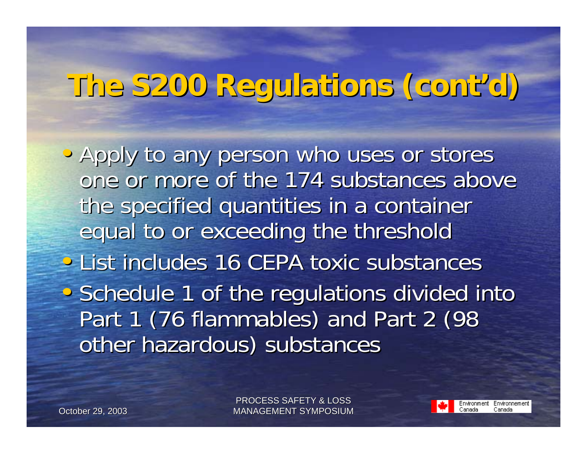# **The S200 Regulations (cont'd) The S200 Regulations (cont'd)**

• Apply to any person who uses or stores one or more of the 174 substances above the specified quantities in a container equal to or exceeding the threshold • List includes 16 CEPA toxic substances • Schedule 1 of the regulations divided into Part 1 (76 flammables) and Part 2 (98 other hazardous) substances

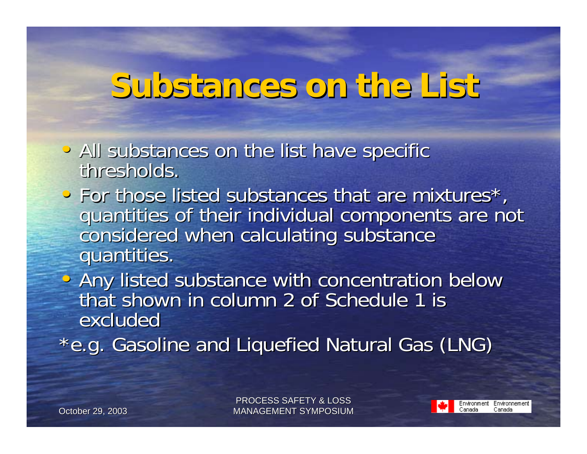## **Substances on the List Substances on the List**

- All substances on the list have specific thresholds. thresholds.
- For those listed substances that are mixtures\*, quantities of their individual components are not considered when calculating substance<br>quantities.
- Any listed substance with concentration below <br>That shown in column 2 of Schedule 1 is that shown in column 2 of Schedule 1 isexcluded
- \*e.g. Gasoline and Liquefied Natural Gas (LNG)

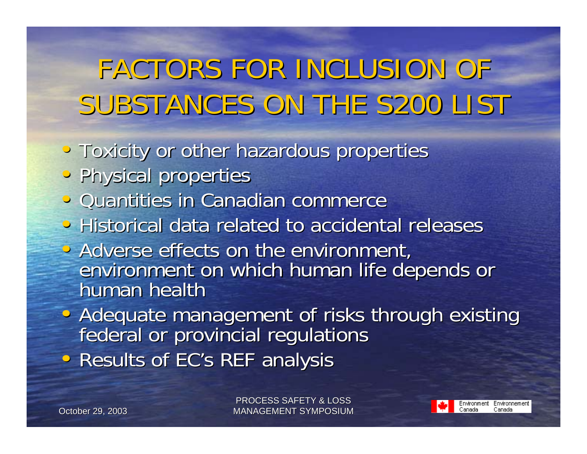# FACTORS FOR INCLUSION OF FACTORS FOR INCLUSION OF SUBSTANCES ON THE S200 LIST

- Toxicity or other hazardous properties
- Physical properties
- Quantities in Canadian commerce
- Historical data related to accidental releases
- Adverse effects on the environment, environment on which human life depends or human health
- Adequate management of risks through existing federal or provincial regulations
- Results of EC's REF analysis

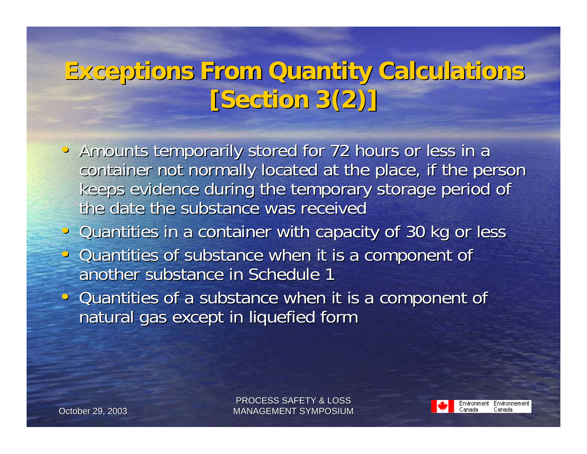#### **Exceptions From Quantity Calculations Exceptions From Quantity Calculations [Section 3(2)] [Section 3(2)]**

- Amounts temporarily stored for 72 hours or less in a container not normally located at the place, if the person keeps evidence during the temporary storage period of the date the substance was received
- Quantities in a container with capacity of 30 kg or less
- Quantities of substance when it is a component of another substance in Schedule 1
- Quantities of a substance when it is a component of natural gas except in liquefied form

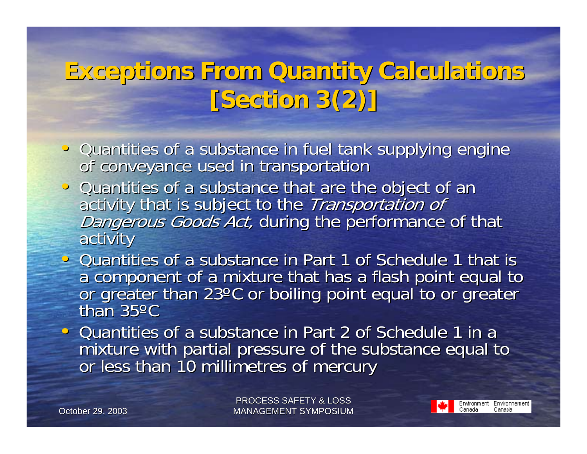#### **Exceptions From Quantity Calculations Exceptions From Quantity Calculations [Section 3(2)] [Section 3(2)]**

- Quantities of a substance in fuel tank supplying engine of conveyance used in transportation
- Quantities of a substance that are the object of an activity that is subject to the *Transportation of*<br>Dangerous Goods Act, during the performance of that<br>activity
- Quantities of a substance in Part 1 of Schedule 1 that is a component of a mixture that has a flash point equal to or greater than 23°C or boiling point equal to or greater than 35ºC
- Quantities of a substance in Part 2 of Schedule 1 in a mixture with partial pressure of the substance equal to mixture with partial pressure of the substance equal to

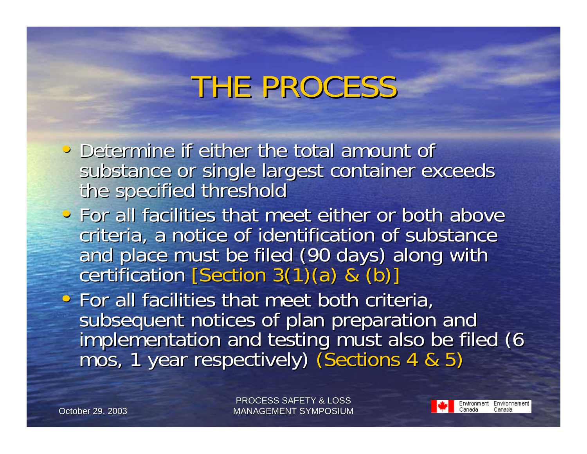# THE PROCESS

- Determine if either the total amount of substance or single largest container exceeds<br>the specified threshold
- For all facilities that meet either or both above criteria, a notice of identification of substance and place must be filed (90 days) along with certification  $[Section 3(1)(a) & (b)]$
- $\bullet$  For all facilities that meet both criteria, subsequent notices of plan preparation and<br>implementation and testing must also be filed (6 mos, 1 year respectively) (Sections 4 & 5)

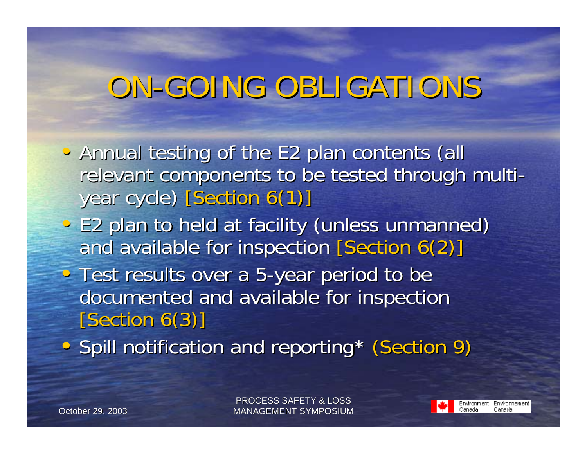# ON-GOING OBLIGATIONS

- Annual testing of the E2 plan contents (all relevant components to be tested through multiyear cycle) [Section 6(1)]
- E2 plan to held at facility (unless unmanned) and available for inspection  $[Section 6(2)]$
- Test results over a 5-year period to be documented and available for inspection [Section 6(3)]
- Spill notification and reporting\* (Section 9)

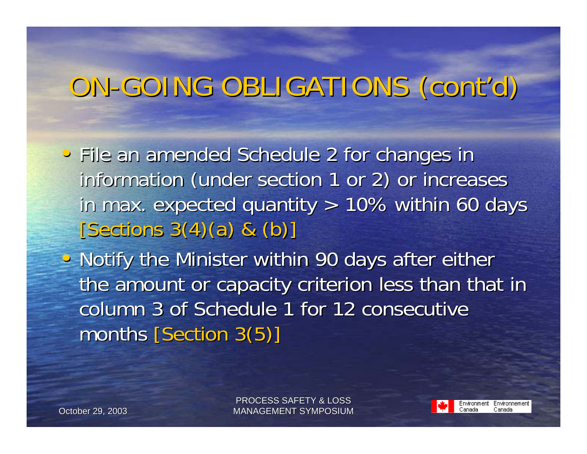## ON-GOING OBLIGATIONS (cont'd)

- File an amended Schedule 2 for changes in information (under section 1 or 2) or increases in max. expected quantity  $> 10\%$  within 60 days  $[Sections 3(4)(a) 8( b) ]$
- Notify the Minister within 90 days after either the amount or capacity criterion less than that in column 3 of Schedule 1 for 12 consecutive months  $[Section 3(5)]$

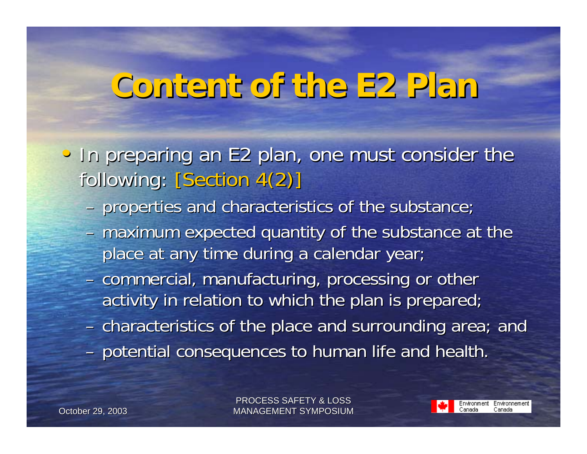# **Content of the E2 Plan Content of the E2 Plan**

- In preparing an E2 plan, one must consider the following: [Section 4(2)]
	- properties and characteristics of the substance;
	- $-$  maximum expected quantity of the substance at the place at any time during a calendar year;
	- commercial, manufacturing, processing or other activity in relation to which the plan is prepared;
	- $-$  characteristics of the place and surrounding area; and
	- potential consequences to human life and health.

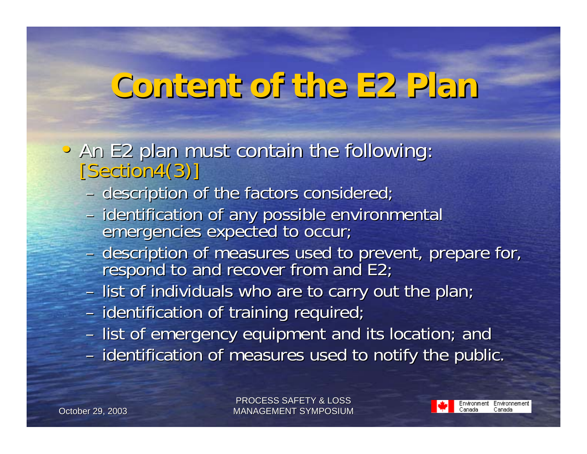# **Content of the E2 Plan Content of the E2 Plan**

- An E2 plan must contain the following:<br>[Section4(3)]
	- description of the factors considered;
	- identification of any possible environmental emergencies expected to occur;
	- description of measures used to prevent, prepare for,<br>respond to and recover from and E2;
	- $-$  list of individuals who are to carry out the plan;
	- identification of training required;
	- list of emergency equipment and its location; and – identification of measures used to notify the public.

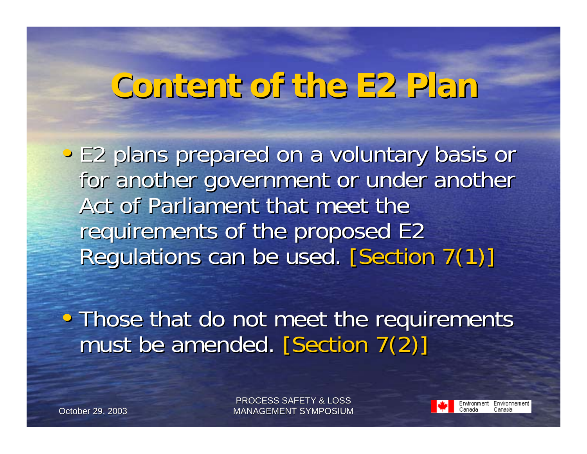# **Content of the E2 Plan Content of the E2 Plan**

• E2 plans prepared on a voluntary basis or for another government or under another Act of Parliament that meet the requirements of the proposed E2 Regulations can be used. [Section 7(1)]

• Those that do not meet the requirements must be amended. [Section 7(2)]

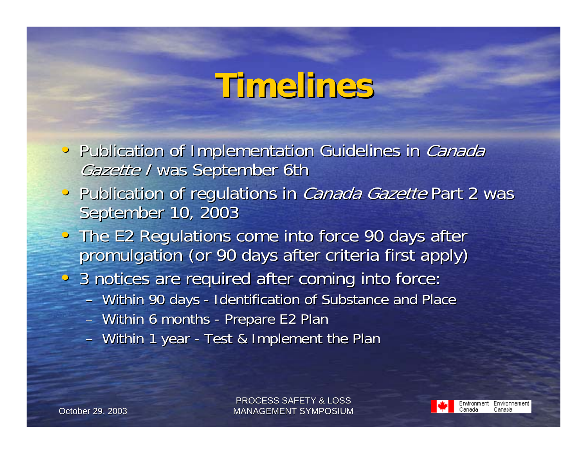# **Timelines Timelines**

- Publication of Implementation Guidelines in Canada Gazette / was September 6th
- Publication of regulations in *Canada Gazette* Part 2 was September 10, 2003
- The E2 Regulations come into force 90 days after promulgation (or 90 days after criteria first apply)
- 3 notices are required after coming into force:
	- Within 90 days Identification of Substance and Place
	- Within 6 months Prepare E2 Plan
	- Within 1 year Test & Implement the Plan

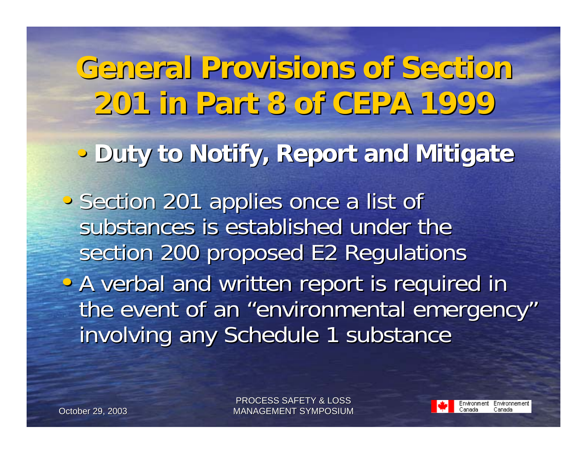**General Provisions of Section General Provisions of Section 201 in Part 8 of CEPA 1999 201 in Part 8 of CEPA 1999**• **Duty to Notify, Report and Mitigate Duty to Notify, Report and Mitigate** • Section 201 applies once a list of substances is established under the section 200 proposed E2 Regulations • A verbal and written report is required in the event of an "environmental emergency" involving any Schedule 1 substance

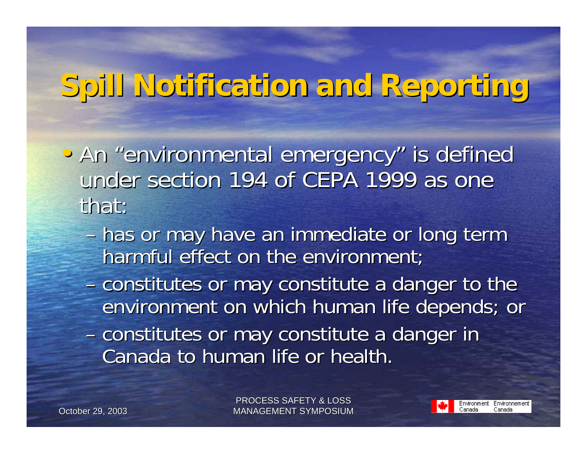# **Spill Notification and Reporting Spill Notification and Reporting**

- An "environmental emergency" is defined under section 194 of CEPA 1999 as one that:
	- has or may have an immediate or long term harmful effect on the environment;
	- constitutes or may constitute a danger to the environment on which human life depends; or –– constitutes or may constitute a danger in Canada to human life or health.

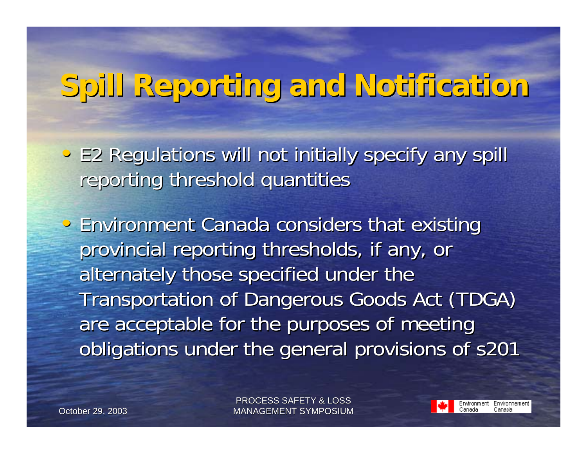# **Spill Reporting and Notification Spill Reporting and Notification**

- E2 Regulations will not initially specify any spill reporting threshold quantities
- Environment Canada considers that existing provincial reporting thresholds, if any, or alternately those specified under the Transportation of Dangerous Goods Act (TDGA) are acceptable for the purposes of meeting obligations under the general provisions of s201

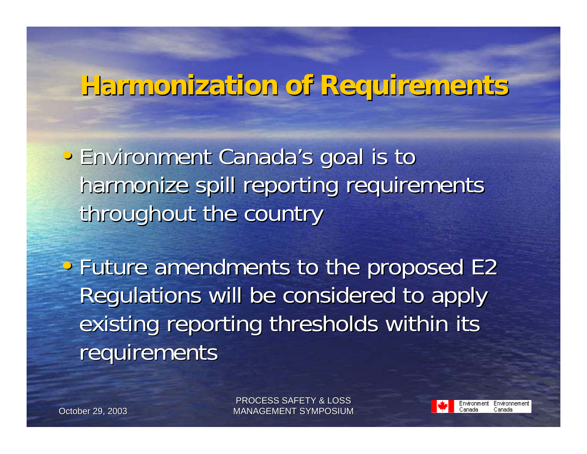#### **Harmonization of Requirements Harmonization of Requirements**

- Environment Canada's goal is to Environment Canada's goal is to harmonize spill reporting requirements throughout the country
- Future amendments to the proposed E2 Regulations will be considered to apply Regulations will be considered to apply existing reporting thresholds within its requirements

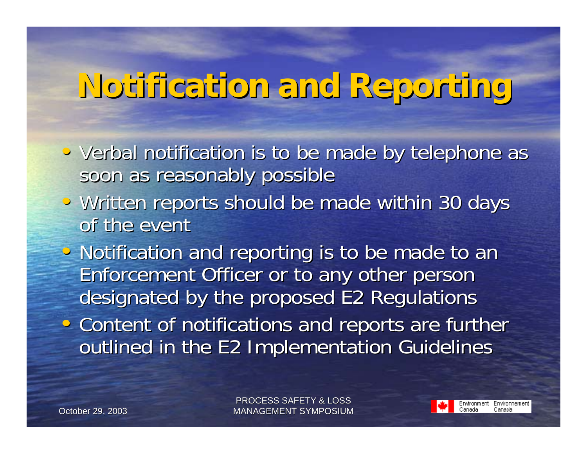# **Notification and Reporting Notification and Reporting**

- Verbal notification is to be made by telephone as soon as reasonably possible
- Written reports should be made within 30 days of the event
- Notification and reporting is to be made to an Enforcement Officer or to any other person Enforcement Officer or to any other person designated by the proposed E2 Requlations
- Content of notifications and reports are further outlined in the E2 Implementation Guidelines

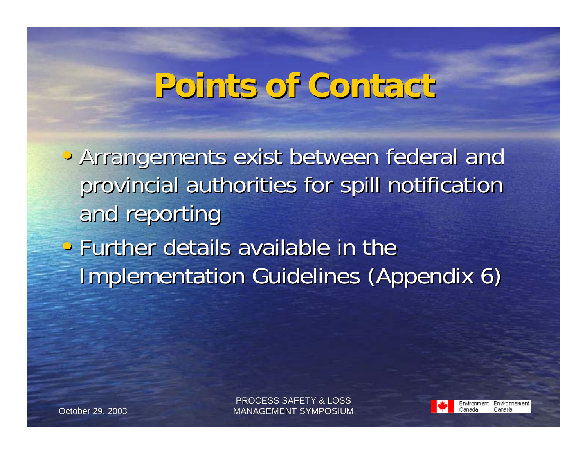## **Points of Contact Points of Contact**

• Arrangements exist between federal and provincial authorities for spill notification and reporting  $\cdot$  Further details available in the **Implementation Guidelines (Appendix 6)** 

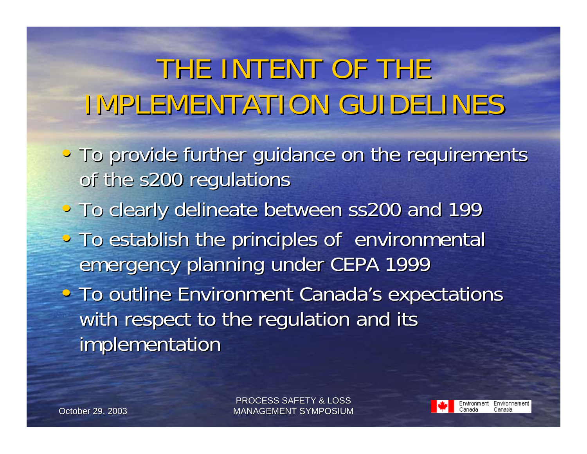# THE INTENT OF THE IMPLEMENTATION GUIDELINES

- To provide further guidance on the requirements of the s200 regulations
- To clearly delineate between ss200 and 199
- To establish the principles of environmental emergency planning under CEPA 1999

• To outline Environment Canada's expectations with respect to the regulation and its implementation

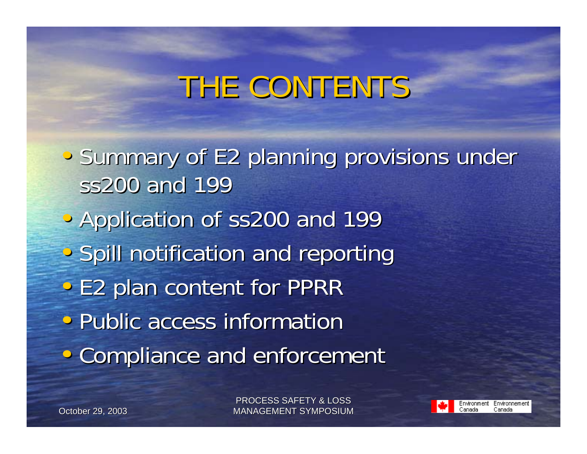# THE CONTENTS

• Summary of E2 planning provisions under ss200 and 199 • Application of ss200 and 199 • Spill notification and reporting • E2 plan content for PPRR • Public access information • Compliance and enforcement

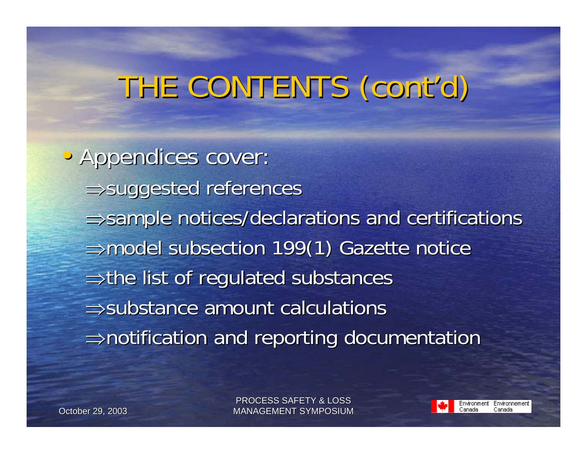# THE CONTENTS (cont'd)

• Appendices cover: ⇒suggested references  $\Rightarrow$  sample notices/declarations and certifications ⇒model subsection 199(1) Gazette notice <sup>⇒</sup>the list of regulated substances the list of regulated substances  $\Rightarrow$ substance amount calculations  $\Rightarrow$ notification and reporting documentation

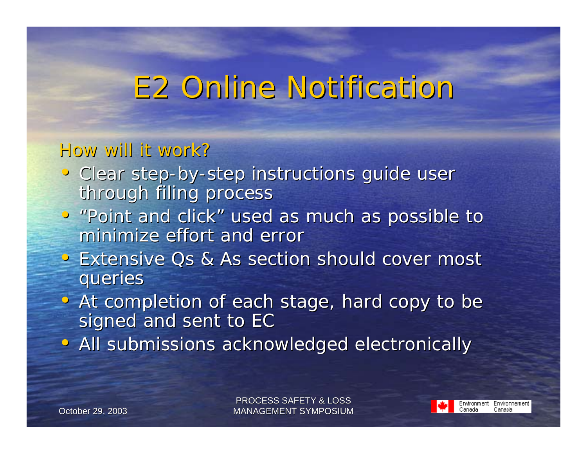#### E2 Online Notification E2 Online Notification

#### *How will it work? How will it work?*

- Clear step-by-step instructions guide user through filing process
- "Point and click" used as much as possible to minimize effort and error
- Extensive Qs & As section should cover most queries
- At completion of each stage, hard copy to be signed and sent to EC
- All submissions acknowledged electronically

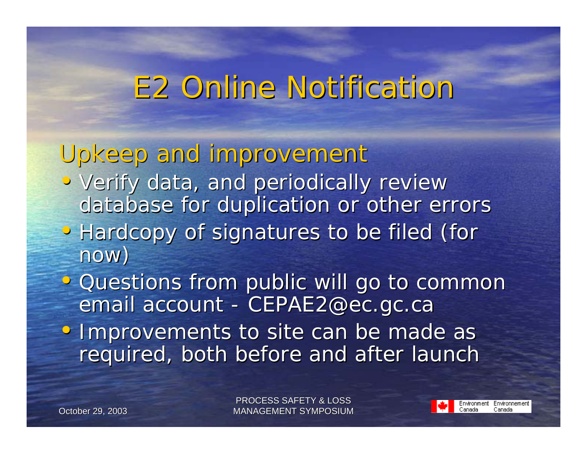#### E2 Online Notification E2 Online Notification

#### *Upkeep and improvement Upkeep and improvement*

- Verify data, and periodically review database for duplication or other errors
- Hardcopy of signatures to be filed (for now)
- Questions from public will go to common email account - *CEPAE2@ec.gc.ca*
- Improvements to site can be made as required, both before and after launch

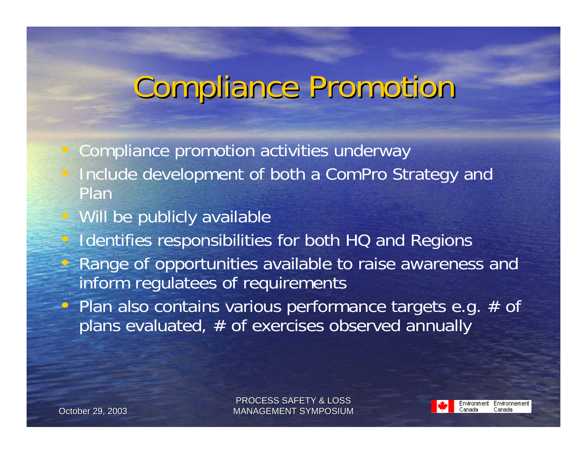# Compliance Promotion Compliance Promotion

Compliance promotion activities underway

- Include development of both a ComPro Strategy and Plan
- Will be publicly available Identifies responsibilities for both HQ and Regions • Range of opportunities available to raise awareness and inform regulatees of requirements • Plan also contains various performance targets e.g.  $#$  of  $\sqrt{p}$  plans evaluated,  $\#$  of exercises observed annually

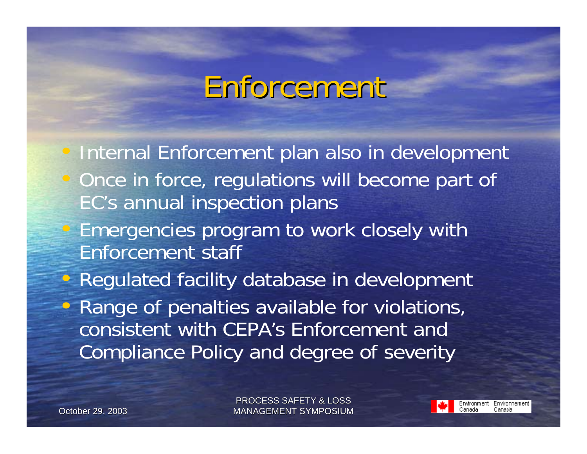# Enforcement

 Internal Enforcement plan also in development Once in force, regulations will become part of EC's annual inspection plans • Emergencies program to work closely with Enforcement staff• Regulated facility database in development  $\epsilon$  Range of penalties available for violations, consistent with CEPA's Enforcement andCompliance Policy and degree of severity

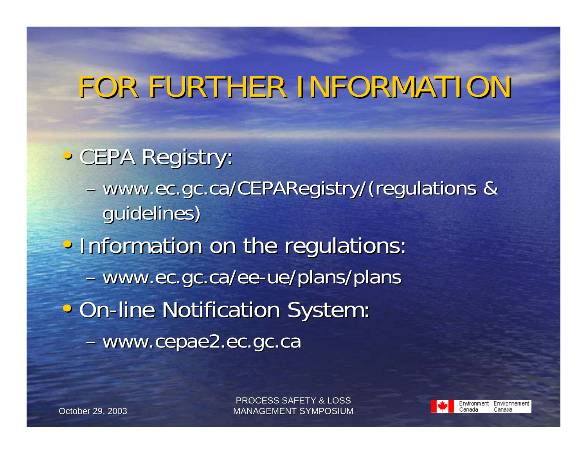# FOR FURTHER INFORMATION

- CEPA Registry:
	- www.ec.gc.ca/CEPARegistry/ (regulations & guidelines)
- Information on the regulations: - www.ec.gc.ca/ee-ue/plans/plans • On-line Notification System: www.cepae2.ec.gc.ca www.cepae2.ec.gc.ca

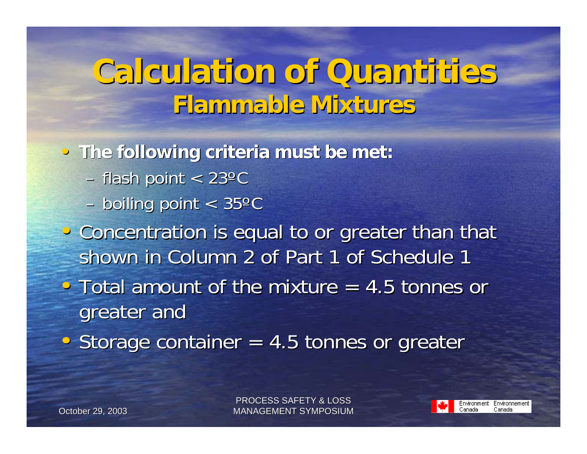#### **Calculation of Quantities Calculation of Quantities Flammable Mixtures Flammable Mixtures**

• **The following criteria must be met: The following criteria must be met:**

- flash point  $< 23^{\circ}$ C
- $-$  boiling point  $< 35^{\circ}$ C
- Concentration is equal to or greater than that shown in Column 2 of Part 1 of Schedule 1 • Total amount of the mixture  $=$  4.5 tonnes or

greater and

• Storage container  $= 4.5$  tonnes or greater